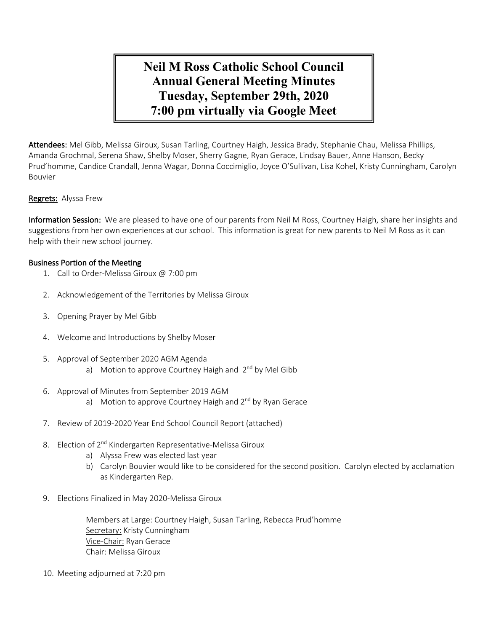# **Neil M Ross Catholic School Council Annual General Meeting Minutes Tuesday, September 29th, 2020 7:00 pm virtually via Google Meet**

Attendees: Mel Gibb, Melissa Giroux, Susan Tarling, Courtney Haigh, Jessica Brady, Stephanie Chau, Melissa Phillips, Amanda Grochmal, Serena Shaw, Shelby Moser, Sherry Gagne, Ryan Gerace, Lindsay Bauer, Anne Hanson, Becky Prud'homme, Candice Crandall, Jenna Wagar, Donna Coccimiglio, Joyce O'Sullivan, Lisa Kohel, Kristy Cunningham, Carolyn Bouvier

### Regrets: Alyssa Frew

Information Session: We are pleased to have one of our parents from Neil M Ross, Courtney Haigh, share her insights and suggestions from her own experiences at our school. This information is great for new parents to Neil M Ross as it can help with their new school journey.

### Business Portion of the Meeting

- 1. Call to Order-Melissa Giroux @ 7:00 pm
- 2. Acknowledgement of the Territories by Melissa Giroux
- 3. Opening Prayer by Mel Gibb
- 4. Welcome and Introductions by Shelby Moser
- 5. Approval of September 2020 AGM Agenda a) Motion to approve Courtney Haigh and  $2^{nd}$  by Mel Gibb
- 6. Approval of Minutes from September 2019 AGM
	- a) Motion to approve Courtney Haigh and  $2^{nd}$  by Ryan Gerace
- 7. Review of 2019-2020 Year End School Council Report (attached)
- 8. Election of 2<sup>nd</sup> Kindergarten Representative-Melissa Giroux
	- a) Alyssa Frew was elected last year
	- b) Carolyn Bouvier would like to be considered for the second position. Carolyn elected by acclamation as Kindergarten Rep.
- 9. Elections Finalized in May 2020-Melissa Giroux

Members at Large: Courtney Haigh, Susan Tarling, Rebecca Prud'homme Secretary: Kristy Cunningham Vice-Chair: Ryan Gerace Chair: Melissa Giroux

10. Meeting adjourned at 7:20 pm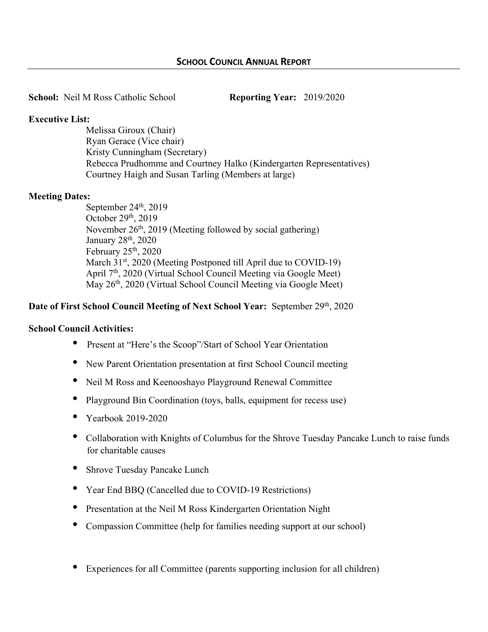**School:** Neil M Ross Catholic School **Reporting Year:** 2019/2020

# **Executive List:**

Melissa Giroux (Chair) Ryan Gerace (Vice chair) Kristy Cunningham (Secretary) Rebecca Prudhomme and Courtney Halko (Kindergarten Representatives) Courtney Haigh and Susan Tarling (Members at large)

# **Meeting Dates:**

September 24<sup>th</sup>, 2019 October  $29<sup>th</sup>$ ,  $2019$ November 26<sup>th</sup>, 2019 (Meeting followed by social gathering) January 28th, 2020 February  $25<sup>th</sup>$ ,  $2020$ March 31<sup>st</sup>, 2020 (Meeting Postponed till April due to COVID-19) April 7<sup>th</sup>, 2020 (Virtual School Council Meeting via Google Meet) May 26<sup>th</sup>, 2020 (Virtual School Council Meeting via Google Meet)

# **Date of First School Council Meeting of Next School Year:** September 29th, 2020

### **School Council Activities:**

- Present at "Here's the Scoop"/Start of School Year Orientation
- New Parent Orientation presentation at first School Council meeting
- Neil M Ross and Keenooshayo Playground Renewal Committee
- Playground Bin Coordination (toys, balls, equipment for recess use)
- Yearbook 2019-2020
- Collaboration with Knights of Columbus for the Shrove Tuesday Pancake Lunch to raise funds for charitable causes
- Shrove Tuesday Pancake Lunch
- Year End BBQ (Cancelled due to COVID-19 Restrictions)
- Presentation at the Neil M Ross Kindergarten Orientation Night
- Compassion Committee (help for families needing support at our school)
- Experiences for all Committee (parents supporting inclusion for all children)